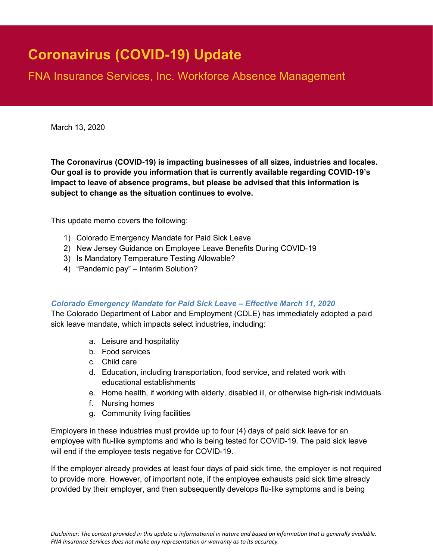# **Coronavirus (COVID-19) Update**

FNA Insurance Services, Inc. Workforce Absence Management

March 13, 2020

**The Coronavirus (COVID-19) is impacting businesses of all sizes, industries and locales. Our goal is to provide you information that is currently available regarding COVID-19's impact to leave of absence programs, but please be advised that this information is subject to change as the situation continues to evolve.**

This update memo covers the following:

- 1) Colorado Emergency Mandate for Paid Sick Leave
- 2) New Jersey Guidance on Employee Leave Benefits During COVID-19
- 3) Is Mandatory Temperature Testing Allowable?
- 4) "Pandemic pay" Interim Solution?

#### *Colorado Emergency Mandate for Paid Sick Leave – Effective March 11, 2020*

The Colorado Department of Labor and Employment (CDLE) has immediately adopted a paid sick leave mandate, which impacts select industries, including:

- a. Leisure and hospitality
- b. Food services
- c. Child care
- d. Education, including transportation, food service, and related work with educational establishments
- e. Home health, if working with elderly, disabled ill, or otherwise high-risk individuals
- f. Nursing homes
- g. Community living facilities

Employers in these industries must provide up to four (4) days of paid sick leave for an employee with flu-like symptoms and who is being tested for COVID-19. The paid sick leave will end if the employee tests negative for COVID-19.

If the employer already provides at least four days of paid sick time, the employer is not required to provide more. However, of important note, if the employee exhausts paid sick time already provided by their employer, and then subsequently develops flu-like symptoms and is being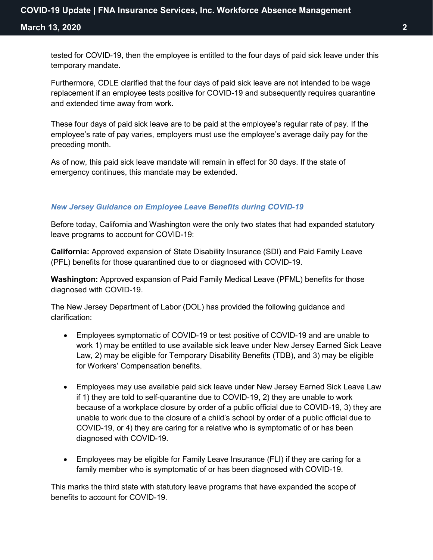**March 13, 2020 2**

tested for COVID-19, then the employee is entitled to the four days of paid sick leave under this temporary mandate.

Furthermore, CDLE clarified that the four days of paid sick leave are not intended to be wage replacement if an employee tests positive for COVID-19 and subsequently requires quarantine and extended time away from work.

These four days of paid sick leave are to be paid at the employee's regular rate of pay. If the employee's rate of pay varies, employers must use the employee's average daily pay for the preceding month.

As of now, this paid sick leave mandate will remain in effect for 30 days. If the state of emergency continues, this mandate may be extended.

#### *New Jersey Guidance on Employee Leave Benefits during COVID-19*

Before today, California and Washington were the only two states that had expanded statutory leave programs to account for COVID-19:

**California:** Approved expansion of State Disability Insurance (SDI) and Paid Family Leave (PFL) benefits for those quarantined due to or diagnosed with COVID-19.

**Washington:** Approved expansion of Paid Family Medical Leave (PFML) benefits for those diagnosed with COVID-19.

The New Jersey Department of Labor (DOL) has provided the following guidance and clarification:

- Employees symptomatic of COVID-19 or test positive of COVID-19 and are unable to work 1) may be entitled to use available sick leave under New Jersey Earned Sick Leave Law, 2) may be eligible for Temporary Disability Benefits (TDB), and 3) may be eligible for Workers' Compensation benefits.
- Employees may use available paid sick leave under New Jersey Earned Sick Leave Law if 1) they are told to self-quarantine due to COVID-19, 2) they are unable to work because of a workplace closure by order of a public official due to COVID-19, 3) they are unable to work due to the closure of a child's school by order of a public official due to COVID-19, or 4) they are caring for a relative who is symptomatic of or has been diagnosed with COVID-19.
- Employees may be eligible for Family Leave Insurance (FLI) if they are caring for a family member who is symptomatic of or has been diagnosed with COVID-19.

This marks the third state with statutory leave programs that have expanded the scope of benefits to account for COVID-19.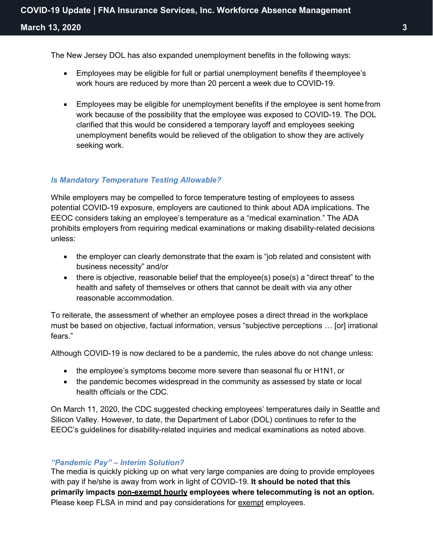The New Jersey DOL has also expanded unemployment benefits in the following ways:

- Employees may be eligible for full or partial unemployment benefits if theemployee's work hours are reduced by more than 20 percent a week due to COVID-19.
- Employees may be eligible for unemployment benefits if the employee is sent home from work because of the possibility that the employee was exposed to COVID-19. The DOL clarified that this would be considered a temporary layoff and employees seeking unemployment benefits would be relieved of the obligation to show they are actively seeking work.

### *Is Mandatory Temperature Testing Allowable?*

While employers may be compelled to force temperature testing of employees to assess potential COVID-19 exposure, employers are cautioned to think about ADA implications. The EEOC considers taking an employee's temperature as a "medical examination." The ADA prohibits employers from requiring medical examinations or making disability-related decisions unless:

- the employer can clearly demonstrate that the exam is "job related and consistent with business necessity" and/or
- there is objective, reasonable belief that the employee(s) pose(s) a "direct threat" to the health and safety of themselves or others that cannot be dealt with via any other reasonable accommodation.

To reiterate, the assessment of whether an employee poses a direct thread in the workplace must be based on objective, factual information, versus "subjective perceptions … [or] irrational fears."

Although COVID-19 is now declared to be a pandemic, the rules above do not change unless:

- the employee's symptoms become more severe than seasonal flu or H1N1, or
- the pandemic becomes widespread in the community as assessed by state or local health officials or the CDC.

On March 11, 2020, the CDC suggested checking employees' temperatures daily in Seattle and Silicon Valley. However, to date, the Department of Labor (DOL) continues to refer to the EEOC's guidelines for disability-related inquiries and medical examinations as noted above.

## *"Pandemic Pay" – Interim Solution?*

The media is quickly picking up on what very large companies are doing to provide employees with pay if he/she is away from work in light of COVID-19. **It should be noted that this primarily impacts non-exempt hourly employees where telecommuting is not an option.**  Please keep FLSA in mind and pay considerations for exempt employees.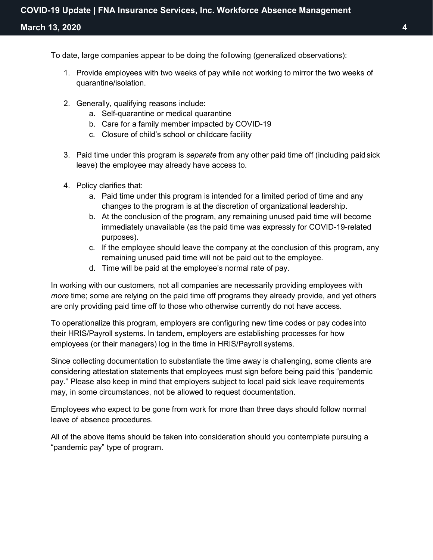To date, large companies appear to be doing the following (generalized observations):

- 1. Provide employees with two weeks of pay while not working to mirror the two weeks of quarantine/isolation.
- 2. Generally, qualifying reasons include:
	- a. Self-quarantine or medical quarantine
	- b. Care for a family member impacted by COVID-19
	- c. Closure of child's school or childcare facility
- 3. Paid time under this program is *separate* from any other paid time off (including paid sick leave) the employee may already have access to.
- 4. Policy clarifies that:
	- a. Paid time under this program is intended for a limited period of time and any changes to the program is at the discretion of organizational leadership.
	- b. At the conclusion of the program, any remaining unused paid time will become immediately unavailable (as the paid time was expressly for COVID-19-related purposes).
	- c. If the employee should leave the company at the conclusion of this program, any remaining unused paid time will not be paid out to the employee.
	- d. Time will be paid at the employee's normal rate of pay.

In working with our customers, not all companies are necessarily providing employees with *more* time; some are relying on the paid time off programs they already provide, and yet others are only providing paid time off to those who otherwise currently do not have access.

To operationalize this program, employers are configuring new time codes or pay codes into their HRIS/Payroll systems. In tandem, employers are establishing processes for how employees (or their managers) log in the time in HRIS/Payroll systems.

Since collecting documentation to substantiate the time away is challenging, some clients are considering attestation statements that employees must sign before being paid this "pandemic pay." Please also keep in mind that employers subject to local paid sick leave requirements may, in some circumstances, not be allowed to request documentation.

Employees who expect to be gone from work for more than three days should follow normal leave of absence procedures.

All of the above items should be taken into consideration should you contemplate pursuing a "pandemic pay" type of program.